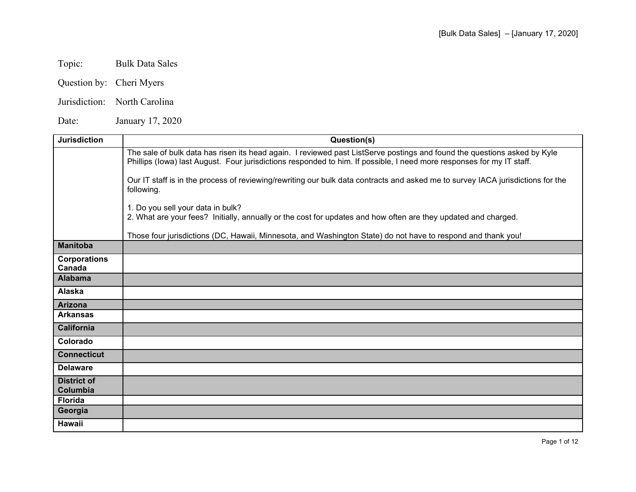# Topic: Bulk Data Sales

- Question by: Cheri Myers
- Jurisdiction: North Carolina

Date: January 17, 2020

| <b>Jurisdiction</b>            | Question(s)                                                                                                                                                                                                                                       |
|--------------------------------|---------------------------------------------------------------------------------------------------------------------------------------------------------------------------------------------------------------------------------------------------|
|                                | The sale of bulk data has risen its head again. I reviewed past ListServe postings and found the questions asked by Kyle<br>Phillips (lowa) last August. Four jurisdictions responded to him. If possible, I need more responses for my IT staff. |
|                                | Our IT staff is in the process of reviewing/rewriting our bulk data contracts and asked me to survey IACA jurisdictions for the<br>following.                                                                                                     |
|                                | 1. Do you sell your data in bulk?<br>2. What are your fees? Initially, annually or the cost for updates and how often are they updated and charged.                                                                                               |
|                                | Those four jurisdictions (DC, Hawaii, Minnesota, and Washington State) do not have to respond and thank you!                                                                                                                                      |
| <b>Manitoba</b>                |                                                                                                                                                                                                                                                   |
| <b>Corporations</b><br>Canada  |                                                                                                                                                                                                                                                   |
| <b>Alabama</b>                 |                                                                                                                                                                                                                                                   |
| Alaska                         |                                                                                                                                                                                                                                                   |
| <b>Arizona</b>                 |                                                                                                                                                                                                                                                   |
| <b>Arkansas</b>                |                                                                                                                                                                                                                                                   |
| <b>California</b>              |                                                                                                                                                                                                                                                   |
| Colorado                       |                                                                                                                                                                                                                                                   |
| <b>Connecticut</b>             |                                                                                                                                                                                                                                                   |
| <b>Delaware</b>                |                                                                                                                                                                                                                                                   |
| <b>District of</b><br>Columbia |                                                                                                                                                                                                                                                   |
| <b>Florida</b>                 |                                                                                                                                                                                                                                                   |
| Georgia                        |                                                                                                                                                                                                                                                   |
| <b>Hawaii</b>                  |                                                                                                                                                                                                                                                   |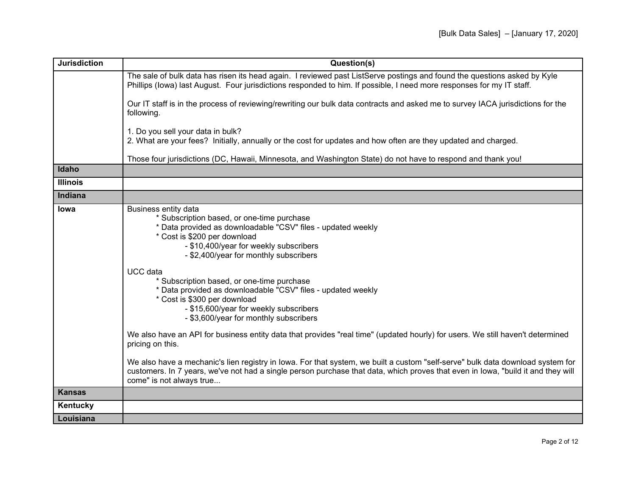| <b>Jurisdiction</b> | Question(s)                                                                                                                                                                                                                                                                                                                                                                                                                                                                                                                                                                                                                                                                                                                                                                                  |
|---------------------|----------------------------------------------------------------------------------------------------------------------------------------------------------------------------------------------------------------------------------------------------------------------------------------------------------------------------------------------------------------------------------------------------------------------------------------------------------------------------------------------------------------------------------------------------------------------------------------------------------------------------------------------------------------------------------------------------------------------------------------------------------------------------------------------|
|                     | The sale of bulk data has risen its head again. I reviewed past ListServe postings and found the questions asked by Kyle<br>Phillips (lowa) last August. Four jurisdictions responded to him. If possible, I need more responses for my IT staff.                                                                                                                                                                                                                                                                                                                                                                                                                                                                                                                                            |
|                     | Our IT staff is in the process of reviewing/rewriting our bulk data contracts and asked me to survey IACA jurisdictions for the<br>following.                                                                                                                                                                                                                                                                                                                                                                                                                                                                                                                                                                                                                                                |
|                     | 1. Do you sell your data in bulk?<br>2. What are your fees? Initially, annually or the cost for updates and how often are they updated and charged.                                                                                                                                                                                                                                                                                                                                                                                                                                                                                                                                                                                                                                          |
|                     | Those four jurisdictions (DC, Hawaii, Minnesota, and Washington State) do not have to respond and thank you!                                                                                                                                                                                                                                                                                                                                                                                                                                                                                                                                                                                                                                                                                 |
| Idaho               |                                                                                                                                                                                                                                                                                                                                                                                                                                                                                                                                                                                                                                                                                                                                                                                              |
| <b>Illinois</b>     |                                                                                                                                                                                                                                                                                                                                                                                                                                                                                                                                                                                                                                                                                                                                                                                              |
| <b>Indiana</b>      |                                                                                                                                                                                                                                                                                                                                                                                                                                                                                                                                                                                                                                                                                                                                                                                              |
| lowa                | Business entity data<br>* Subscription based, or one-time purchase<br>* Data provided as downloadable "CSV" files - updated weekly<br>* Cost is \$200 per download<br>- \$10,400/year for weekly subscribers<br>- \$2,400/year for monthly subscribers<br>UCC data<br>* Subscription based, or one-time purchase<br>* Data provided as downloadable "CSV" files - updated weekly<br>* Cost is \$300 per download<br>- \$15,600/year for weekly subscribers<br>- \$3,600/year for monthly subscribers<br>We also have an API for business entity data that provides "real time" (updated hourly) for users. We still haven't determined<br>pricing on this.<br>We also have a mechanic's lien registry in lowa. For that system, we built a custom "self-serve" bulk data download system for |
|                     | customers. In 7 years, we've not had a single person purchase that data, which proves that even in lowa, "build it and they will<br>come" is not always true                                                                                                                                                                                                                                                                                                                                                                                                                                                                                                                                                                                                                                 |
| <b>Kansas</b>       |                                                                                                                                                                                                                                                                                                                                                                                                                                                                                                                                                                                                                                                                                                                                                                                              |
| Kentucky            |                                                                                                                                                                                                                                                                                                                                                                                                                                                                                                                                                                                                                                                                                                                                                                                              |
| Louisiana           |                                                                                                                                                                                                                                                                                                                                                                                                                                                                                                                                                                                                                                                                                                                                                                                              |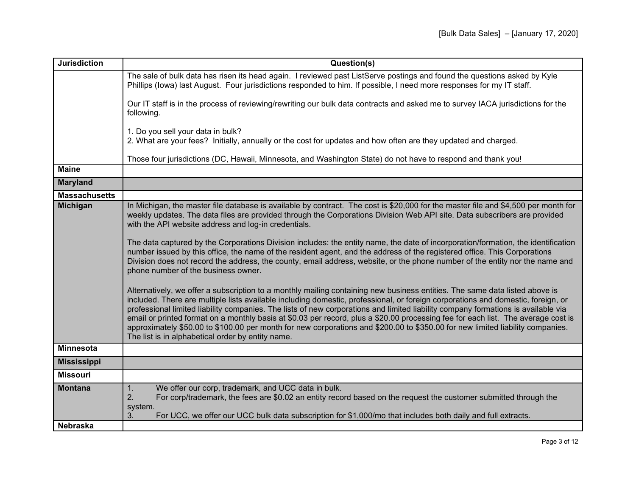| <b>Jurisdiction</b>  | Question(s)                                                                                                                                                                                                                                                                                                                                                                                                                                                                                                                                                                                                                                                                                                                                                      |
|----------------------|------------------------------------------------------------------------------------------------------------------------------------------------------------------------------------------------------------------------------------------------------------------------------------------------------------------------------------------------------------------------------------------------------------------------------------------------------------------------------------------------------------------------------------------------------------------------------------------------------------------------------------------------------------------------------------------------------------------------------------------------------------------|
|                      | The sale of bulk data has risen its head again. I reviewed past ListServe postings and found the questions asked by Kyle<br>Phillips (lowa) last August. Four jurisdictions responded to him. If possible, I need more responses for my IT staff.                                                                                                                                                                                                                                                                                                                                                                                                                                                                                                                |
|                      | Our IT staff is in the process of reviewing/rewriting our bulk data contracts and asked me to survey IACA jurisdictions for the<br>following.                                                                                                                                                                                                                                                                                                                                                                                                                                                                                                                                                                                                                    |
|                      | 1. Do you sell your data in bulk?<br>2. What are your fees? Initially, annually or the cost for updates and how often are they updated and charged.                                                                                                                                                                                                                                                                                                                                                                                                                                                                                                                                                                                                              |
|                      | Those four jurisdictions (DC, Hawaii, Minnesota, and Washington State) do not have to respond and thank you!                                                                                                                                                                                                                                                                                                                                                                                                                                                                                                                                                                                                                                                     |
| <b>Maine</b>         |                                                                                                                                                                                                                                                                                                                                                                                                                                                                                                                                                                                                                                                                                                                                                                  |
| <b>Maryland</b>      |                                                                                                                                                                                                                                                                                                                                                                                                                                                                                                                                                                                                                                                                                                                                                                  |
| <b>Massachusetts</b> |                                                                                                                                                                                                                                                                                                                                                                                                                                                                                                                                                                                                                                                                                                                                                                  |
| <b>Michigan</b>      | In Michigan, the master file database is available by contract. The cost is \$20,000 for the master file and \$4,500 per month for<br>weekly updates. The data files are provided through the Corporations Division Web API site. Data subscribers are provided<br>with the API website address and log-in credentials.<br>The data captured by the Corporations Division includes: the entity name, the date of incorporation/formation, the identification<br>number issued by this office, the name of the resident agent, and the address of the registered office. This Corporations<br>Division does not record the address, the county, email address, website, or the phone number of the entity nor the name and<br>phone number of the business owner. |
|                      | Alternatively, we offer a subscription to a monthly mailing containing new business entities. The same data listed above is<br>included. There are multiple lists available including domestic, professional, or foreign corporations and domestic, foreign, or<br>professional limited liability companies. The lists of new corporations and limited liability company formations is available via<br>email or printed format on a monthly basis at \$0.03 per record, plus a \$20.00 processing fee for each list. The average cost is<br>approximately \$50.00 to \$100.00 per month for new corporations and \$200.00 to \$350.00 for new limited liability companies.<br>The list is in alphabetical order by entity name.                                 |
| <b>Minnesota</b>     |                                                                                                                                                                                                                                                                                                                                                                                                                                                                                                                                                                                                                                                                                                                                                                  |
| <b>Mississippi</b>   |                                                                                                                                                                                                                                                                                                                                                                                                                                                                                                                                                                                                                                                                                                                                                                  |
| <b>Missouri</b>      |                                                                                                                                                                                                                                                                                                                                                                                                                                                                                                                                                                                                                                                                                                                                                                  |
| <b>Montana</b>       | We offer our corp, trademark, and UCC data in bulk.<br>1.<br>For corp/trademark, the fees are \$0.02 an entity record based on the request the customer submitted through the<br>2.<br>system.<br>For UCC, we offer our UCC bulk data subscription for \$1,000/mo that includes both daily and full extracts.<br>3.                                                                                                                                                                                                                                                                                                                                                                                                                                              |
| <b>Nebraska</b>      |                                                                                                                                                                                                                                                                                                                                                                                                                                                                                                                                                                                                                                                                                                                                                                  |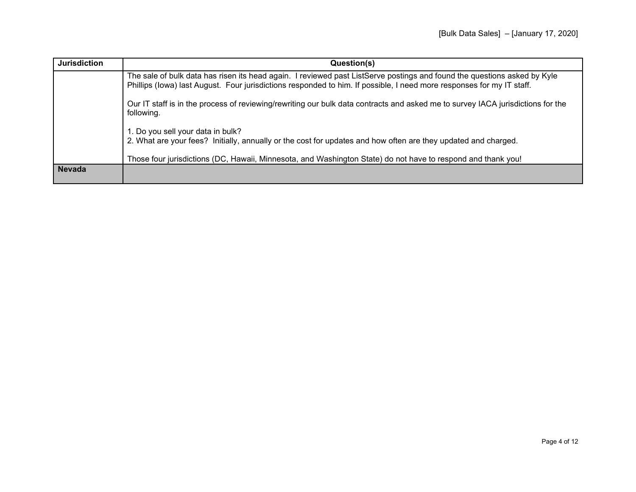| <b>Jurisdiction</b> | Question(s)                                                                                                                                                                                                                                       |
|---------------------|---------------------------------------------------------------------------------------------------------------------------------------------------------------------------------------------------------------------------------------------------|
|                     | The sale of bulk data has risen its head again. I reviewed past ListServe postings and found the questions asked by Kyle<br>Phillips (lowa) last August. Four jurisdictions responded to him. If possible, I need more responses for my IT staff. |
|                     | Our IT staff is in the process of reviewing/rewriting our bulk data contracts and asked me to survey IACA jurisdictions for the<br>following.                                                                                                     |
|                     | 1. Do you sell your data in bulk?<br>2. What are your fees? Initially, annually or the cost for updates and how often are they updated and charged.                                                                                               |
|                     | Those four jurisdictions (DC, Hawaii, Minnesota, and Washington State) do not have to respond and thank you!                                                                                                                                      |
| <b>Nevada</b>       |                                                                                                                                                                                                                                                   |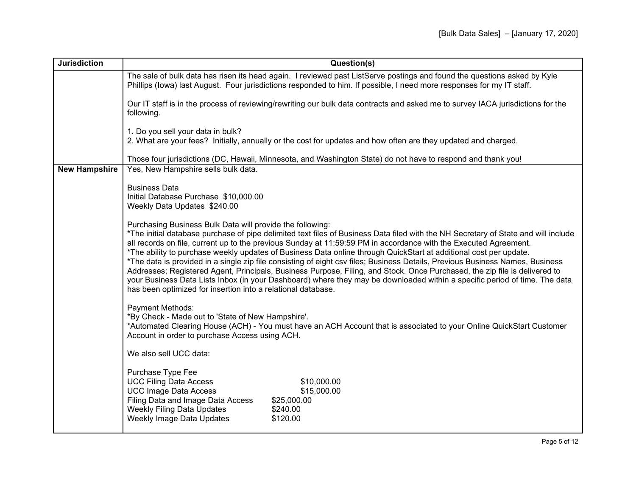| <b>Jurisdiction</b>  | Question(s)                                                                                                                                                                                                                                                                                                                                                                                                                                                                                                                                                                                                                                                                                                                                                                                                                                                                                           |  |
|----------------------|-------------------------------------------------------------------------------------------------------------------------------------------------------------------------------------------------------------------------------------------------------------------------------------------------------------------------------------------------------------------------------------------------------------------------------------------------------------------------------------------------------------------------------------------------------------------------------------------------------------------------------------------------------------------------------------------------------------------------------------------------------------------------------------------------------------------------------------------------------------------------------------------------------|--|
|                      | The sale of bulk data has risen its head again. I reviewed past ListServe postings and found the questions asked by Kyle<br>Phillips (lowa) last August. Four jurisdictions responded to him. If possible, I need more responses for my IT staff.                                                                                                                                                                                                                                                                                                                                                                                                                                                                                                                                                                                                                                                     |  |
|                      | Our IT staff is in the process of reviewing/rewriting our bulk data contracts and asked me to survey IACA jurisdictions for the<br>following.                                                                                                                                                                                                                                                                                                                                                                                                                                                                                                                                                                                                                                                                                                                                                         |  |
|                      | 1. Do you sell your data in bulk?<br>2. What are your fees? Initially, annually or the cost for updates and how often are they updated and charged.                                                                                                                                                                                                                                                                                                                                                                                                                                                                                                                                                                                                                                                                                                                                                   |  |
|                      | Those four jurisdictions (DC, Hawaii, Minnesota, and Washington State) do not have to respond and thank you!                                                                                                                                                                                                                                                                                                                                                                                                                                                                                                                                                                                                                                                                                                                                                                                          |  |
| <b>New Hampshire</b> | Yes, New Hampshire sells bulk data.                                                                                                                                                                                                                                                                                                                                                                                                                                                                                                                                                                                                                                                                                                                                                                                                                                                                   |  |
|                      | <b>Business Data</b><br>Initial Database Purchase \$10,000.00<br>Weekly Data Updates \$240.00                                                                                                                                                                                                                                                                                                                                                                                                                                                                                                                                                                                                                                                                                                                                                                                                         |  |
|                      | Purchasing Business Bulk Data will provide the following:<br>*The initial database purchase of pipe delimited text files of Business Data filed with the NH Secretary of State and will include<br>all records on file, current up to the previous Sunday at 11:59:59 PM in accordance with the Executed Agreement.<br>*The ability to purchase weekly updates of Business Data online through QuickStart at additional cost per update.<br>*The data is provided in a single zip file consisting of eight csv files; Business Details, Previous Business Names, Business<br>Addresses; Registered Agent, Principals, Business Purpose, Filing, and Stock. Once Purchased, the zip file is delivered to<br>your Business Data Lists Inbox (in your Dashboard) where they may be downloaded within a specific period of time. The data<br>has been optimized for insertion into a relational database. |  |
|                      | <b>Payment Methods:</b><br>*By Check - Made out to 'State of New Hampshire'.<br>*Automated Clearing House (ACH) - You must have an ACH Account that is associated to your Online QuickStart Customer<br>Account in order to purchase Access using ACH.                                                                                                                                                                                                                                                                                                                                                                                                                                                                                                                                                                                                                                                |  |
|                      | We also sell UCC data:                                                                                                                                                                                                                                                                                                                                                                                                                                                                                                                                                                                                                                                                                                                                                                                                                                                                                |  |
|                      | Purchase Type Fee<br><b>UCC Filing Data Access</b><br>\$10,000.00<br><b>UCC Image Data Access</b><br>\$15,000.00<br>Filing Data and Image Data Access<br>\$25,000.00<br>Weekly Filing Data Updates<br>\$240.00<br>Weekly Image Data Updates<br>\$120.00                                                                                                                                                                                                                                                                                                                                                                                                                                                                                                                                                                                                                                               |  |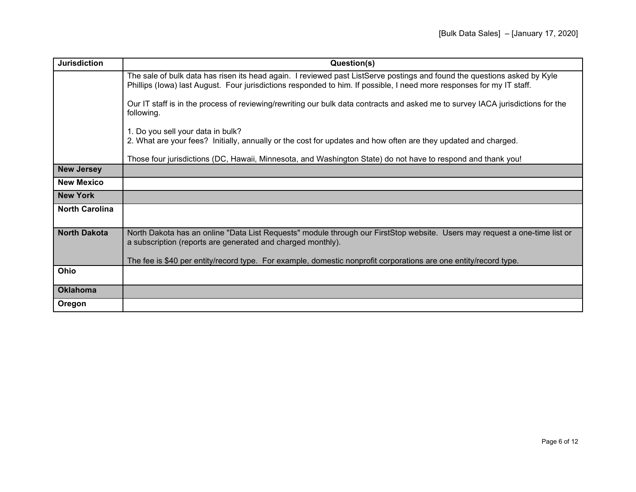| <b>Jurisdiction</b>   | Question(s)                                                                                                                                                                                                                                       |
|-----------------------|---------------------------------------------------------------------------------------------------------------------------------------------------------------------------------------------------------------------------------------------------|
|                       | The sale of bulk data has risen its head again. I reviewed past ListServe postings and found the questions asked by Kyle<br>Phillips (lowa) last August. Four jurisdictions responded to him. If possible, I need more responses for my IT staff. |
|                       | Our IT staff is in the process of reviewing/rewriting our bulk data contracts and asked me to survey IACA jurisdictions for the<br>following.                                                                                                     |
|                       | 1. Do you sell your data in bulk?<br>2. What are your fees? Initially, annually or the cost for updates and how often are they updated and charged.                                                                                               |
|                       | Those four jurisdictions (DC, Hawaii, Minnesota, and Washington State) do not have to respond and thank you!                                                                                                                                      |
| <b>New Jersey</b>     |                                                                                                                                                                                                                                                   |
| <b>New Mexico</b>     |                                                                                                                                                                                                                                                   |
| <b>New York</b>       |                                                                                                                                                                                                                                                   |
| <b>North Carolina</b> |                                                                                                                                                                                                                                                   |
| <b>North Dakota</b>   | North Dakota has an online "Data List Requests" module through our FirstStop website. Users may request a one-time list or<br>a subscription (reports are generated and charged monthly).                                                         |
|                       | The fee is \$40 per entity/record type. For example, domestic nonprofit corporations are one entity/record type.                                                                                                                                  |
| Ohio                  |                                                                                                                                                                                                                                                   |
| <b>Oklahoma</b>       |                                                                                                                                                                                                                                                   |
| Oregon                |                                                                                                                                                                                                                                                   |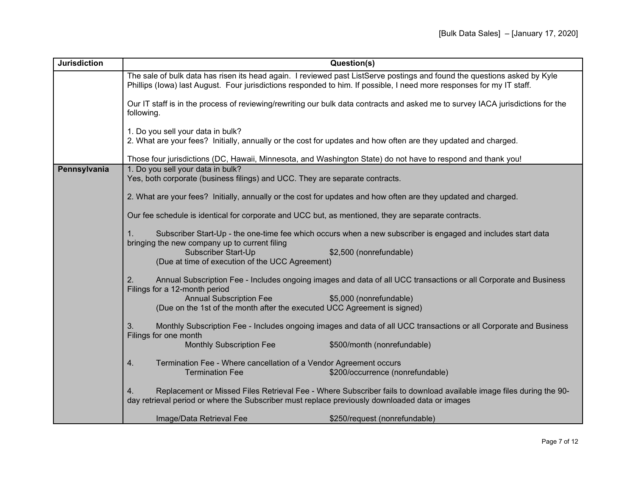| <b>Jurisdiction</b> | Question(s)                                                                                                                                                                                                                                       |                                                                                                                     |
|---------------------|---------------------------------------------------------------------------------------------------------------------------------------------------------------------------------------------------------------------------------------------------|---------------------------------------------------------------------------------------------------------------------|
|                     | The sale of bulk data has risen its head again. I reviewed past ListServe postings and found the questions asked by Kyle<br>Phillips (lowa) last August. Four jurisdictions responded to him. If possible, I need more responses for my IT staff. |                                                                                                                     |
|                     | Our IT staff is in the process of reviewing/rewriting our bulk data contracts and asked me to survey IACA jurisdictions for the<br>following.                                                                                                     |                                                                                                                     |
|                     | 1. Do you sell your data in bulk?<br>2. What are your fees? Initially, annually or the cost for updates and how often are they updated and charged.                                                                                               |                                                                                                                     |
|                     | Those four jurisdictions (DC, Hawaii, Minnesota, and Washington State) do not have to respond and thank you!                                                                                                                                      |                                                                                                                     |
| Pennsylvania        | 1. Do you sell your data in bulk?<br>Yes, both corporate (business filings) and UCC. They are separate contracts.                                                                                                                                 |                                                                                                                     |
|                     | 2. What are your fees? Initially, annually or the cost for updates and how often are they updated and charged.                                                                                                                                    |                                                                                                                     |
|                     | Our fee schedule is identical for corporate and UCC but, as mentioned, they are separate contracts.                                                                                                                                               |                                                                                                                     |
|                     | bringing the new company up to current filing                                                                                                                                                                                                     | Subscriber Start-Up - the one-time fee which occurs when a new subscriber is engaged and includes start data        |
|                     | Subscriber Start-Up<br>(Due at time of execution of the UCC Agreement)                                                                                                                                                                            | \$2,500 (nonrefundable)                                                                                             |
|                     | 2.<br>Filings for a 12-month period                                                                                                                                                                                                               | Annual Subscription Fee - Includes ongoing images and data of all UCC transactions or all Corporate and Business    |
|                     | <b>Annual Subscription Fee</b><br>(Due on the 1st of the month after the executed UCC Agreement is signed)                                                                                                                                        | \$5,000 (nonrefundable)                                                                                             |
|                     | 3.<br>Filings for one month                                                                                                                                                                                                                       | Monthly Subscription Fee - Includes ongoing images and data of all UCC transactions or all Corporate and Business   |
|                     | <b>Monthly Subscription Fee</b>                                                                                                                                                                                                                   | \$500/month (nonrefundable)                                                                                         |
|                     | Termination Fee - Where cancellation of a Vendor Agreement occurs<br>4.<br><b>Termination Fee</b>                                                                                                                                                 | \$200/occurrence (nonrefundable)                                                                                    |
|                     | 4.<br>day retrieval period or where the Subscriber must replace previously downloaded data or images                                                                                                                                              | Replacement or Missed Files Retrieval Fee - Where Subscriber fails to download available image files during the 90- |
|                     | Image/Data Retrieval Fee                                                                                                                                                                                                                          | \$250/request (nonrefundable)                                                                                       |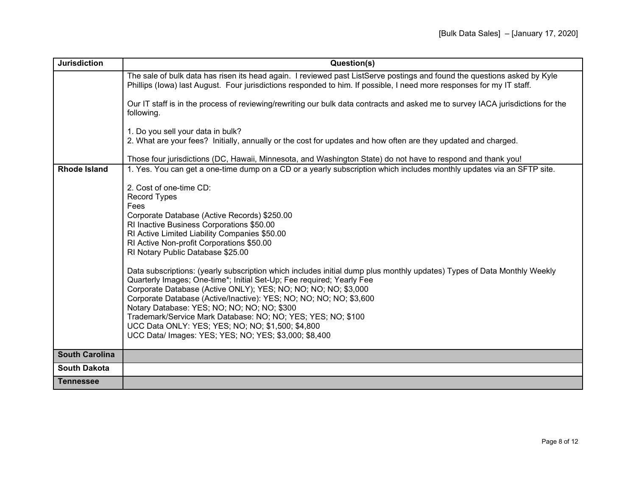| <b>Jurisdiction</b>   | Question(s)                                                                                                                                                                                                                                                                                                                                                                                                                                                                                                                                                                                                                                                                                                                                                                                                                                                     |
|-----------------------|-----------------------------------------------------------------------------------------------------------------------------------------------------------------------------------------------------------------------------------------------------------------------------------------------------------------------------------------------------------------------------------------------------------------------------------------------------------------------------------------------------------------------------------------------------------------------------------------------------------------------------------------------------------------------------------------------------------------------------------------------------------------------------------------------------------------------------------------------------------------|
|                       | The sale of bulk data has risen its head again. I reviewed past ListServe postings and found the questions asked by Kyle<br>Phillips (lowa) last August. Four jurisdictions responded to him. If possible, I need more responses for my IT staff.                                                                                                                                                                                                                                                                                                                                                                                                                                                                                                                                                                                                               |
|                       | Our IT staff is in the process of reviewing/rewriting our bulk data contracts and asked me to survey IACA jurisdictions for the<br>following.                                                                                                                                                                                                                                                                                                                                                                                                                                                                                                                                                                                                                                                                                                                   |
|                       | 1. Do you sell your data in bulk?<br>2. What are your fees? Initially, annually or the cost for updates and how often are they updated and charged.                                                                                                                                                                                                                                                                                                                                                                                                                                                                                                                                                                                                                                                                                                             |
|                       | Those four jurisdictions (DC, Hawaii, Minnesota, and Washington State) do not have to respond and thank you!                                                                                                                                                                                                                                                                                                                                                                                                                                                                                                                                                                                                                                                                                                                                                    |
| <b>Rhode Island</b>   | 1. Yes. You can get a one-time dump on a CD or a yearly subscription which includes monthly updates via an SFTP site.                                                                                                                                                                                                                                                                                                                                                                                                                                                                                                                                                                                                                                                                                                                                           |
|                       | 2. Cost of one-time CD:<br><b>Record Types</b><br>Fees<br>Corporate Database (Active Records) \$250.00<br>RI Inactive Business Corporations \$50.00<br>RI Active Limited Liability Companies \$50.00<br>RI Active Non-profit Corporations \$50.00<br>RI Notary Public Database \$25.00<br>Data subscriptions: (yearly subscription which includes initial dump plus monthly updates) Types of Data Monthly Weekly<br>Quarterly Images; One-time*; Initial Set-Up; Fee required; Yearly Fee<br>Corporate Database (Active ONLY); YES; NO; NO; NO; NO; \$3,000<br>Corporate Database (Active/Inactive): YES; NO; NO; NO; NO; \$3,600<br>Notary Database: YES; NO; NO; NO; NO; \$300<br>Trademark/Service Mark Database: NO; NO; YES; YES; NO; \$100<br>UCC Data ONLY: YES; YES; NO; NO; \$1,500; \$4,800<br>UCC Data/ Images: YES; YES; NO; YES; \$3,000; \$8,400 |
| <b>South Carolina</b> |                                                                                                                                                                                                                                                                                                                                                                                                                                                                                                                                                                                                                                                                                                                                                                                                                                                                 |
| <b>South Dakota</b>   |                                                                                                                                                                                                                                                                                                                                                                                                                                                                                                                                                                                                                                                                                                                                                                                                                                                                 |
| <b>Tennessee</b>      |                                                                                                                                                                                                                                                                                                                                                                                                                                                                                                                                                                                                                                                                                                                                                                                                                                                                 |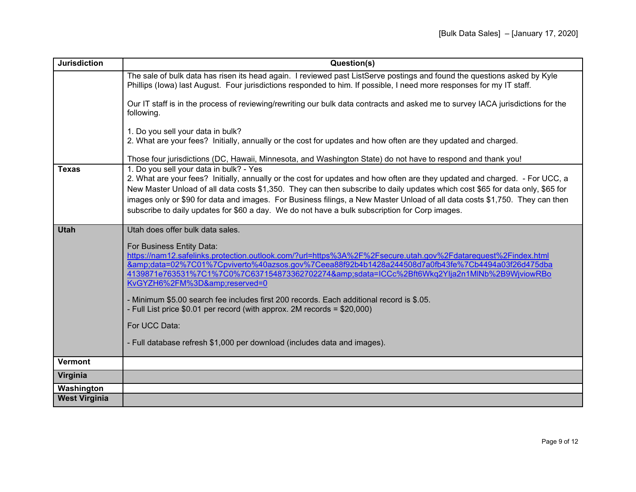| <b>Jurisdiction</b>  | Question(s)                                                                                                                                                                                                                                                                                                                                                                                                                                                                                                                              |  |
|----------------------|------------------------------------------------------------------------------------------------------------------------------------------------------------------------------------------------------------------------------------------------------------------------------------------------------------------------------------------------------------------------------------------------------------------------------------------------------------------------------------------------------------------------------------------|--|
|                      | The sale of bulk data has risen its head again. I reviewed past ListServe postings and found the questions asked by Kyle<br>Phillips (lowa) last August. Four jurisdictions responded to him. If possible, I need more responses for my IT staff.                                                                                                                                                                                                                                                                                        |  |
|                      | Our IT staff is in the process of reviewing/rewriting our bulk data contracts and asked me to survey IACA jurisdictions for the<br>following.                                                                                                                                                                                                                                                                                                                                                                                            |  |
|                      | 1. Do you sell your data in bulk?<br>2. What are your fees? Initially, annually or the cost for updates and how often are they updated and charged.                                                                                                                                                                                                                                                                                                                                                                                      |  |
|                      | Those four jurisdictions (DC, Hawaii, Minnesota, and Washington State) do not have to respond and thank you!                                                                                                                                                                                                                                                                                                                                                                                                                             |  |
| <b>Texas</b>         | 1. Do you sell your data in bulk? - Yes<br>2. What are your fees? Initially, annually or the cost for updates and how often are they updated and charged. - For UCC, a<br>New Master Unload of all data costs \$1,350. They can then subscribe to daily updates which cost \$65 for data only, \$65 for<br>images only or \$90 for data and images. For Business filings, a New Master Unload of all data costs \$1,750. They can then<br>subscribe to daily updates for \$60 a day. We do not have a bulk subscription for Corp images. |  |
| <b>Utah</b>          | Utah does offer bulk data sales.                                                                                                                                                                                                                                                                                                                                                                                                                                                                                                         |  |
|                      | For Business Entity Data:<br>https://nam12.safelinks.protection.outlook.com/?url=https%3A%2F%2Fsecure.utah.gov%2Fdatarequest%2Findex.html<br>&data=02%7C01%7Cpviverto%40azsos.gov%7Ceea88f92b4b1428a244508d7a0fb43fe%7Cb4494a03f26d475dba<br>4139871e763531%7C1%7C0%7C637154873362702274&sdata=ICCc%2Bft6Wkq2Ylja2n1MlNb%2B9WjviowRBo<br>KvGYZH6%2FM%3D&reserved=0<br>- Minimum \$5.00 search fee includes first 200 records. Each additional record is \$.05.                                                                           |  |
|                      | - Full List price \$0.01 per record (with approx. 2M records = \$20,000)                                                                                                                                                                                                                                                                                                                                                                                                                                                                 |  |
|                      | For UCC Data:                                                                                                                                                                                                                                                                                                                                                                                                                                                                                                                            |  |
|                      | - Full database refresh \$1,000 per download (includes data and images).                                                                                                                                                                                                                                                                                                                                                                                                                                                                 |  |
| <b>Vermont</b>       |                                                                                                                                                                                                                                                                                                                                                                                                                                                                                                                                          |  |
| Virginia             |                                                                                                                                                                                                                                                                                                                                                                                                                                                                                                                                          |  |
| Washington           |                                                                                                                                                                                                                                                                                                                                                                                                                                                                                                                                          |  |
| <b>West Virginia</b> |                                                                                                                                                                                                                                                                                                                                                                                                                                                                                                                                          |  |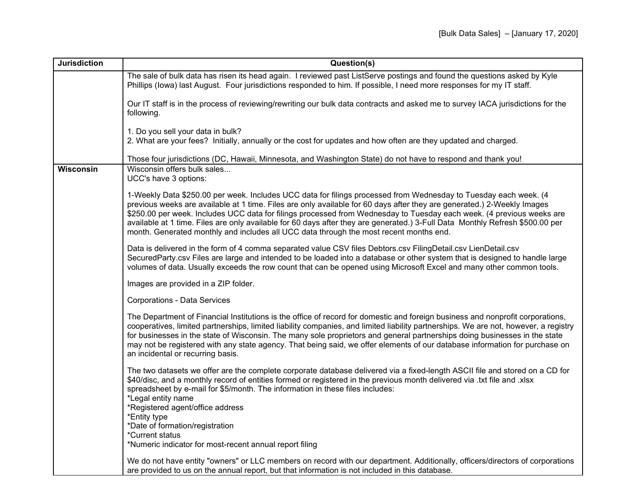| <b>Jurisdiction</b> | Question(s)                                                                                                                                                                                                                                                                                                                                                                                                                                                                                                                                                                                     |  |
|---------------------|-------------------------------------------------------------------------------------------------------------------------------------------------------------------------------------------------------------------------------------------------------------------------------------------------------------------------------------------------------------------------------------------------------------------------------------------------------------------------------------------------------------------------------------------------------------------------------------------------|--|
|                     | The sale of bulk data has risen its head again. I reviewed past ListServe postings and found the questions asked by Kyle<br>Phillips (lowa) last August. Four jurisdictions responded to him. If possible, I need more responses for my IT staff.                                                                                                                                                                                                                                                                                                                                               |  |
|                     | Our IT staff is in the process of reviewing/rewriting our bulk data contracts and asked me to survey IACA jurisdictions for the<br>following.                                                                                                                                                                                                                                                                                                                                                                                                                                                   |  |
|                     | 1. Do you sell your data in bulk?<br>2. What are your fees? Initially, annually or the cost for updates and how often are they updated and charged.                                                                                                                                                                                                                                                                                                                                                                                                                                             |  |
|                     | Those four jurisdictions (DC, Hawaii, Minnesota, and Washington State) do not have to respond and thank you!                                                                                                                                                                                                                                                                                                                                                                                                                                                                                    |  |
| <b>Wisconsin</b>    | Wisconsin offers bulk sales<br>UCC's have 3 options:                                                                                                                                                                                                                                                                                                                                                                                                                                                                                                                                            |  |
|                     | 1-Weekly Data \$250.00 per week. Includes UCC data for filings processed from Wednesday to Tuesday each week. (4<br>previous weeks are available at 1 time. Files are only available for 60 days after they are generated.) 2-Weekly Images<br>\$250.00 per week. Includes UCC data for filings processed from Wednesday to Tuesday each week. (4 previous weeks are<br>available at 1 time. Files are only available for 60 days after they are generated.) 3-Full Data Monthly Refresh \$500.00 per<br>month. Generated monthly and includes all UCC data through the most recent months end. |  |
|                     | Data is delivered in the form of 4 comma separated value CSV files Debtors.csv FilingDetail.csv LienDetail.csv<br>SecuredParty.csv Files are large and intended to be loaded into a database or other system that is designed to handle large<br>volumes of data. Usually exceeds the row count that can be opened using Microsoft Excel and many other common tools.                                                                                                                                                                                                                           |  |
|                     | Images are provided in a ZIP folder.                                                                                                                                                                                                                                                                                                                                                                                                                                                                                                                                                            |  |
|                     | Corporations - Data Services                                                                                                                                                                                                                                                                                                                                                                                                                                                                                                                                                                    |  |
|                     | The Department of Financial Institutions is the office of record for domestic and foreign business and nonprofit corporations,<br>cooperatives, limited partnerships, limited liability companies, and limited liability partnerships. We are not, however, a registry<br>for businesses in the state of Wisconsin. The many sole proprietors and general partnerships doing businesses in the state<br>may not be registered with any state agency. That being said, we offer elements of our database information for purchase on<br>an incidental or recurring basis.                        |  |
|                     | The two datasets we offer are the complete corporate database delivered via a fixed-length ASCII file and stored on a CD for<br>\$40/disc, and a monthly record of entities formed or registered in the previous month delivered via .txt file and .xlsx<br>spreadsheet by e-mail for \$5/month. The information in these files includes:<br>*Legal entity name                                                                                                                                                                                                                                 |  |
|                     | *Registered agent/office address<br>*Entity type                                                                                                                                                                                                                                                                                                                                                                                                                                                                                                                                                |  |
|                     | *Date of formation/registration                                                                                                                                                                                                                                                                                                                                                                                                                                                                                                                                                                 |  |
|                     | *Current status<br>*Numeric indicator for most-recent annual report filing                                                                                                                                                                                                                                                                                                                                                                                                                                                                                                                      |  |
|                     |                                                                                                                                                                                                                                                                                                                                                                                                                                                                                                                                                                                                 |  |
|                     | We do not have entity "owners" or LLC members on record with our department. Additionally, officers/directors of corporations<br>are provided to us on the annual report, but that information is not included in this database.                                                                                                                                                                                                                                                                                                                                                                |  |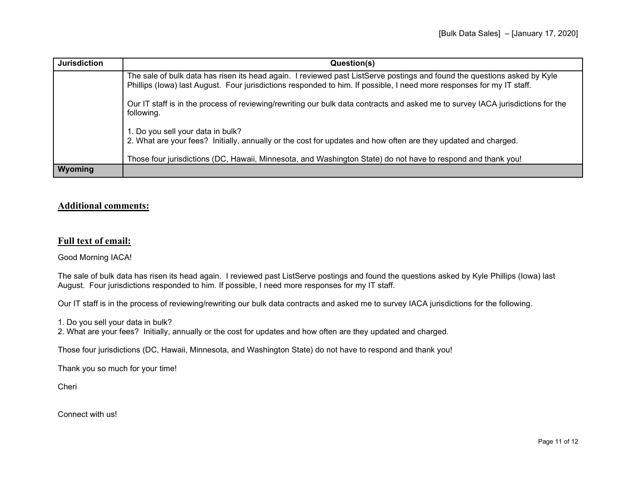| <b>Jurisdiction</b> | Question(s)                                                                                                                                                                                                                                       |
|---------------------|---------------------------------------------------------------------------------------------------------------------------------------------------------------------------------------------------------------------------------------------------|
|                     | The sale of bulk data has risen its head again. I reviewed past ListServe postings and found the questions asked by Kyle<br>Phillips (lowa) last August. Four jurisdictions responded to him. If possible, I need more responses for my IT staff. |
|                     | Our IT staff is in the process of reviewing/rewriting our bulk data contracts and asked me to survey IACA jurisdictions for the<br>following.                                                                                                     |
|                     | 1. Do you sell your data in bulk?<br>2. What are your fees? Initially, annually or the cost for updates and how often are they updated and charged.                                                                                               |
|                     | Those four jurisdictions (DC, Hawaii, Minnesota, and Washington State) do not have to respond and thank you!                                                                                                                                      |
| <b>Wyoming</b>      |                                                                                                                                                                                                                                                   |

# **Additional comments:**

# **Full text of email:**

Good Morning IACA!

The sale of bulk data has risen its head again. I reviewed past ListServe postings and found the questions asked by Kyle Phillips (Iowa) last August. Four jurisdictions responded to him. If possible, I need more responses for my IT staff.

Our IT staff is in the process of reviewing/rewriting our bulk data contracts and asked me to survey IACA jurisdictions for the following.

1. Do you sell your data in bulk?

2. What are your fees? Initially, annually or the cost for updates and how often are they updated and charged.

Those four jurisdictions (DC, Hawaii, Minnesota, and Washington State) do not have to respond and thank you!

Thank you so much for your time!

Cheri

Connect with us!